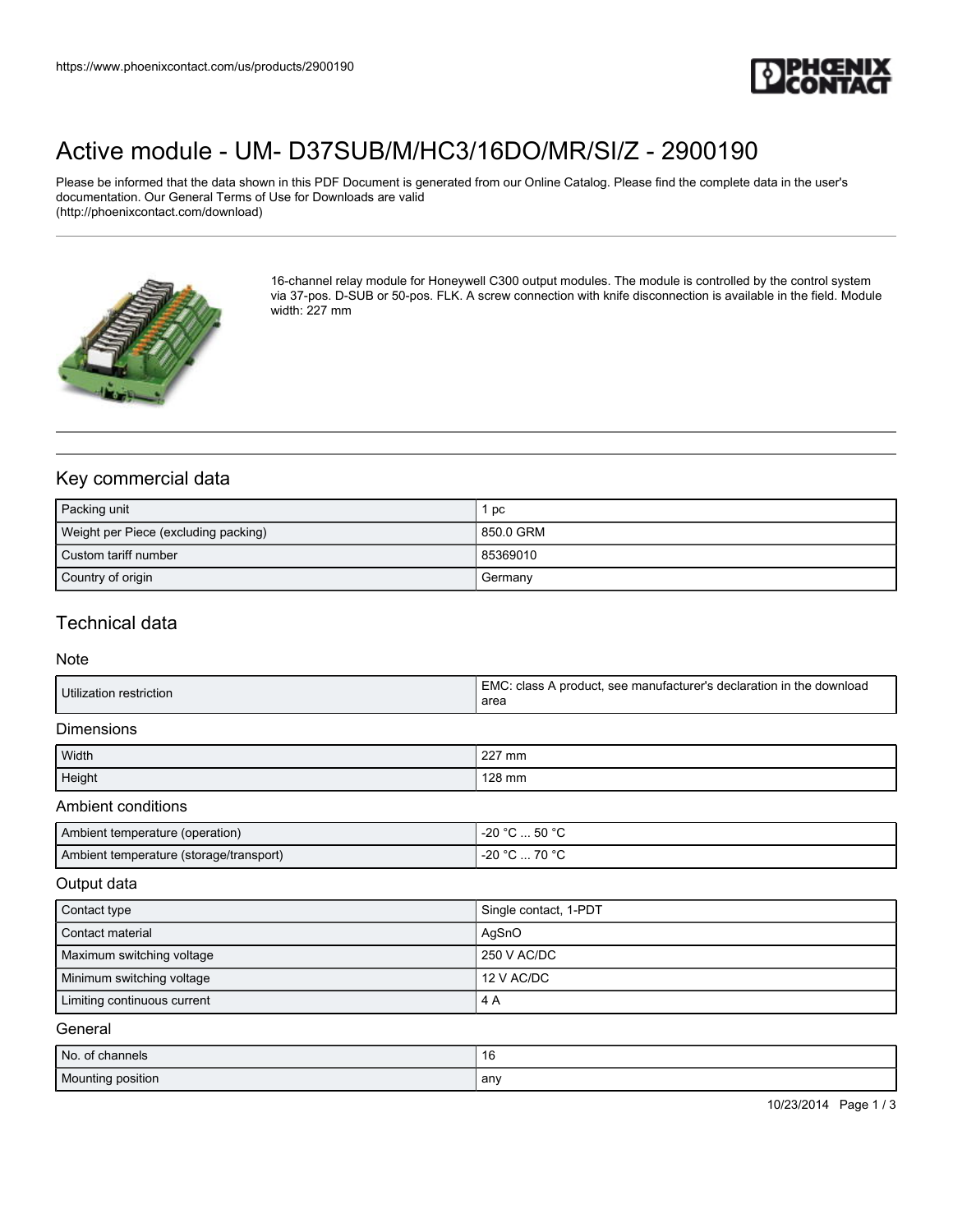

# [Active module - UM- D37SUB/M/HC3/16DO/MR/SI/Z - 2900190](https://www.phoenixcontact.com/us/products/2900190)

Please be informed that the data shown in this PDF Document is generated from our Online Catalog. Please find the complete data in the user's documentation. Our General Terms of Use for Downloads are valid (http://phoenixcontact.com/download)



16-channel relay module for Honeywell C300 output modules. The module is controlled by the control system via 37-pos. D-SUB or 50-pos. FLK. A screw connection with knife disconnection is available in the field. Module width: 227 mm

## Key commercial data

| Packing unit                         | l pc      |
|--------------------------------------|-----------|
| Weight per Piece (excluding packing) | 850.0 GRM |
| Custom tariff number                 | 85369010  |
| Country of origin                    | Germany   |

### Technical data

#### Note

| Utilization restriction | EMC.<br>C: class A product, see manufacturer's declaration in the download<br>area |
|-------------------------|------------------------------------------------------------------------------------|
|-------------------------|------------------------------------------------------------------------------------|

#### Dimensions

| Width  | 227 mm |
|--------|--------|
| Height | 128 mm |

#### Ambient conditions

| Ambient temperature (operation)         | °C  50 °C<br>-20 °C |
|-----------------------------------------|---------------------|
| Ambient temperature (storage/transport) | -20 °C<br>70 °C     |

#### Output data

| Contact type                | Single contact, 1-PDT |
|-----------------------------|-----------------------|
| l Contact material          | AgSnO                 |
| Maximum switching voltage   | 250 V AC/DC           |
| Minimum switching voltage   | 12 V AC/DC            |
| Limiting continuous current | 4 A                   |

#### **General**

| No. of channels   | 16    |
|-------------------|-------|
| Mounting position | , anv |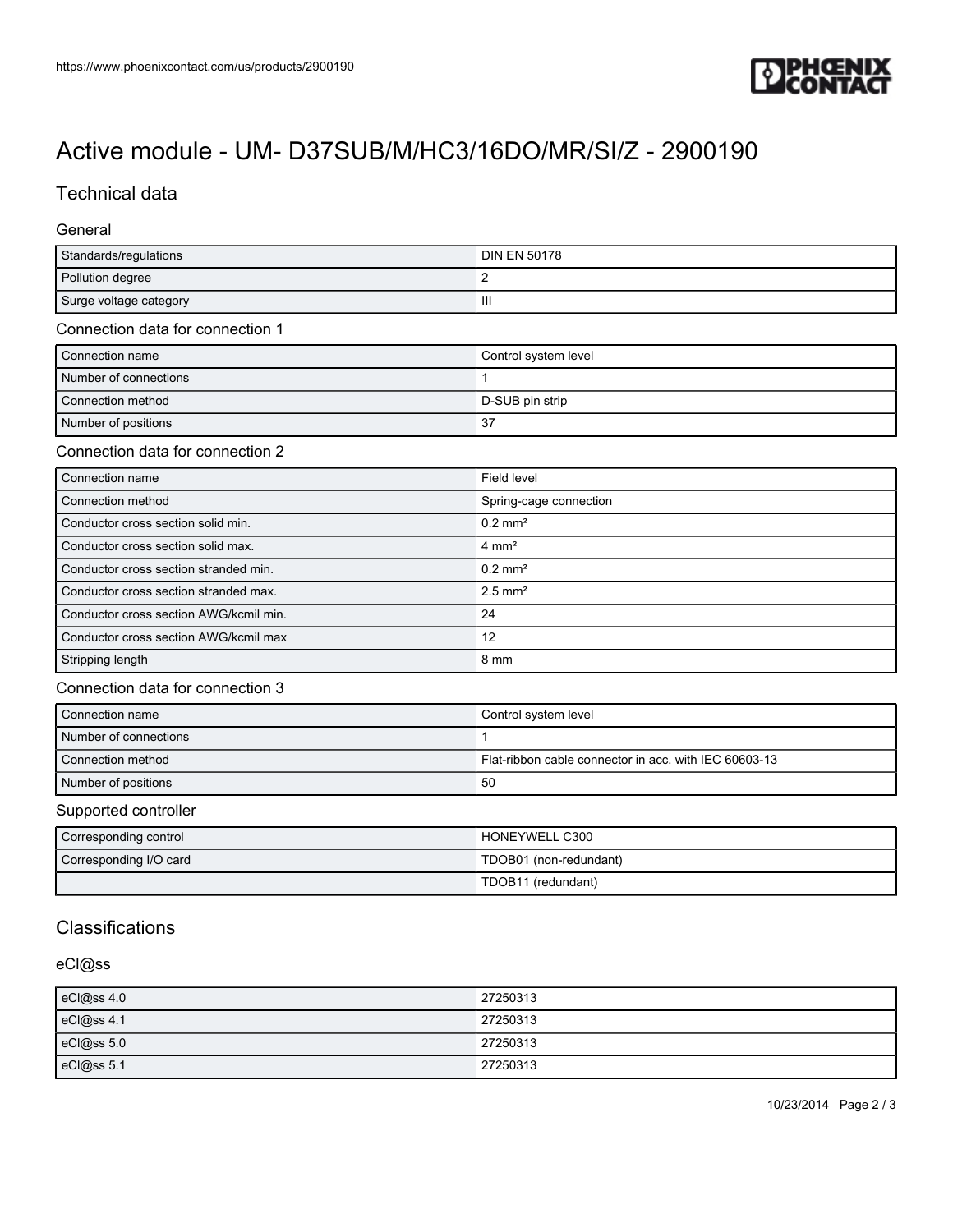

# [Active module - UM- D37SUB/M/HC3/16DO/MR/SI/Z - 2900190](https://www.phoenixcontact.com/us/products/2900190)

## Technical data

#### General

| Standards/regulations  | <b>DIN EN 50178</b> |
|------------------------|---------------------|
| Pollution degree       |                     |
| Surge voltage category | -III                |

#### Connection data for connection 1

| Connection name       | Control system level |
|-----------------------|----------------------|
| Number of connections |                      |
| Connection method     | D-SUB pin strip      |
| Number of positions   | 37                   |

#### Connection data for connection 2

| Connection name                         | Field level            |
|-----------------------------------------|------------------------|
| Connection method                       | Spring-cage connection |
| Conductor cross section solid min.      | $0.2$ mm <sup>2</sup>  |
| Conductor cross section solid max.      | $4 \text{ mm}^2$       |
| l Conductor cross section stranded min. | $0.2$ mm <sup>2</sup>  |
| Conductor cross section stranded max.   | $2.5$ mm <sup>2</sup>  |
| Conductor cross section AWG/kcmil min.  | 24                     |
| Conductor cross section AWG/kcmil max   | 12                     |
| Stripping length                        | 8 mm                   |

#### Connection data for connection 3

| Connection name       | Control system level                                  |
|-----------------------|-------------------------------------------------------|
| Number of connections |                                                       |
| Connection method     | Flat-ribbon cable connector in acc. with IEC 60603-13 |
| Number of positions   | 50                                                    |

#### Supported controller

| Corresponding control  | HONEYWELL C300         |
|------------------------|------------------------|
| Corresponding I/O card | TDOB01 (non-redundant) |
|                        | TDOB11 (redundant)     |

# **Classifications**

### eCl@ss

| eCl@ss 4.0 | 27250313 |
|------------|----------|
| eCl@ss 4.1 | 27250313 |
| eCl@ss 5.0 | 27250313 |
| eCl@ss 5.1 | 27250313 |